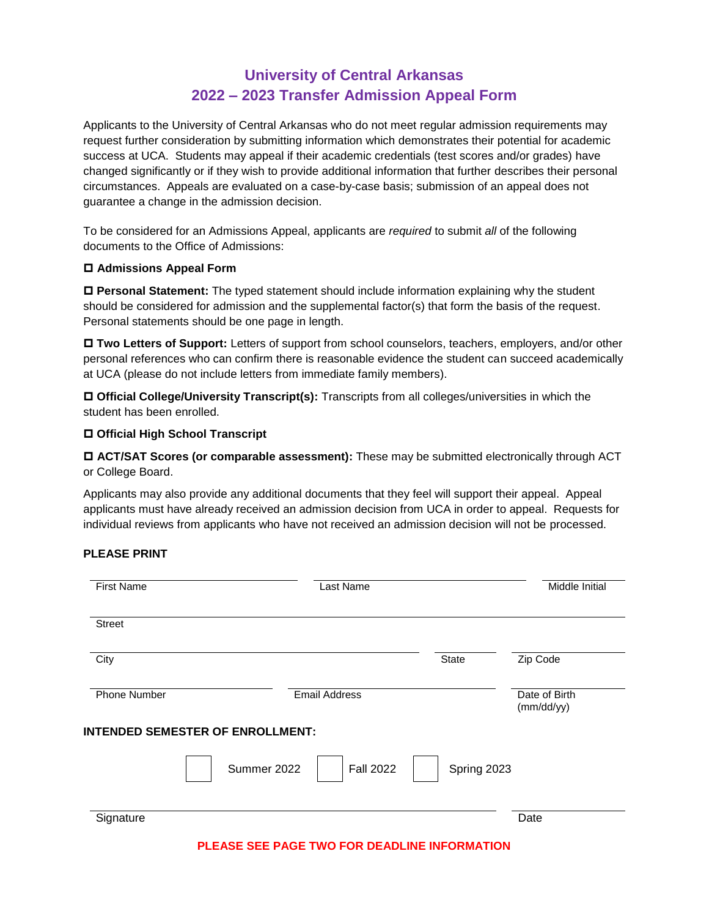# **University of Central Arkansas 2022 – 2023 Transfer Admission Appeal Form**

Applicants to the University of Central Arkansas who do not meet regular admission requirements may request further consideration by submitting information which demonstrates their potential for academic success at UCA. Students may appeal if their academic credentials (test scores and/or grades) have changed significantly or if they wish to provide additional information that further describes their personal circumstances. Appeals are evaluated on a case-by-case basis; submission of an appeal does not guarantee a change in the admission decision.

To be considered for an Admissions Appeal, applicants are *required* to submit *all* of the following documents to the Office of Admissions:

#### **Admissions Appeal Form**

 **Personal Statement:** The typed statement should include information explaining why the student should be considered for admission and the supplemental factor(s) that form the basis of the request. Personal statements should be one page in length.

 **Two Letters of Support:** Letters of support from school counselors, teachers, employers, and/or other personal references who can confirm there is reasonable evidence the student can succeed academically at UCA (please do not include letters from immediate family members).

 **Official College/University Transcript(s):** Transcripts from all colleges/universities in which the student has been enrolled.

## **Official High School Transcript**

 **ACT/SAT Scores (or comparable assessment):** These may be submitted electronically through ACT or College Board.

Applicants may also provide any additional documents that they feel will support their appeal. Appeal applicants must have already received an admission decision from UCA in order to appeal. Requests for individual reviews from applicants who have not received an admission decision will not be processed.

## **PLEASE PRINT**

| <b>First Name</b>                       | Last Name                                    |              | Middle Initial              |
|-----------------------------------------|----------------------------------------------|--------------|-----------------------------|
| <b>Street</b>                           |                                              |              |                             |
| City                                    |                                              | <b>State</b> | Zip Code                    |
| Phone Number                            | <b>Email Address</b>                         |              | Date of Birth<br>(mm/dd/yy) |
| <b>INTENDED SEMESTER OF ENROLLMENT:</b> |                                              |              |                             |
|                                         | Summer 2022<br><b>Fall 2022</b>              | Spring 2023  |                             |
| Signature                               |                                              |              | Date                        |
|                                         | PLEASE SEE PAGE TWO FOR DEADLINE INFORMATION |              |                             |